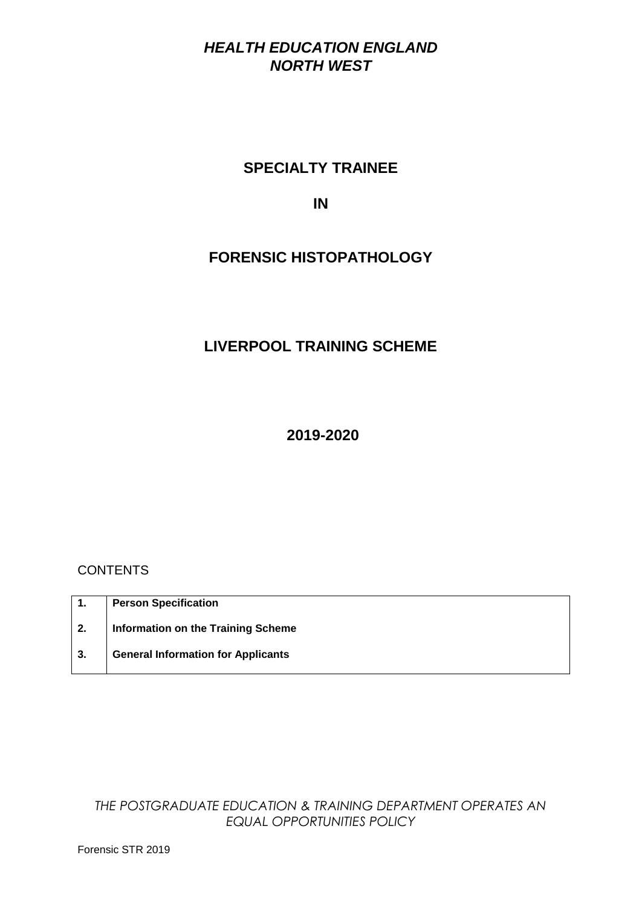## *HEALTH EDUCATION ENGLAND NORTH WEST*

# **SPECIALTY TRAINEE**

### **IN**

# **FORENSIC HISTOPATHOLOGY**

# **LIVERPOOL TRAINING SCHEME**

**2019-2020**

### **CONTENTS**

| $\mathbf{1}$ . | <b>Person Specification</b>               |
|----------------|-------------------------------------------|
| 2.             | <b>Information on the Training Scheme</b> |
| 3.             | <b>General Information for Applicants</b> |

*THE POSTGRADUATE EDUCATION & TRAINING DEPARTMENT OPERATES AN EQUAL OPPORTUNITIES POLICY*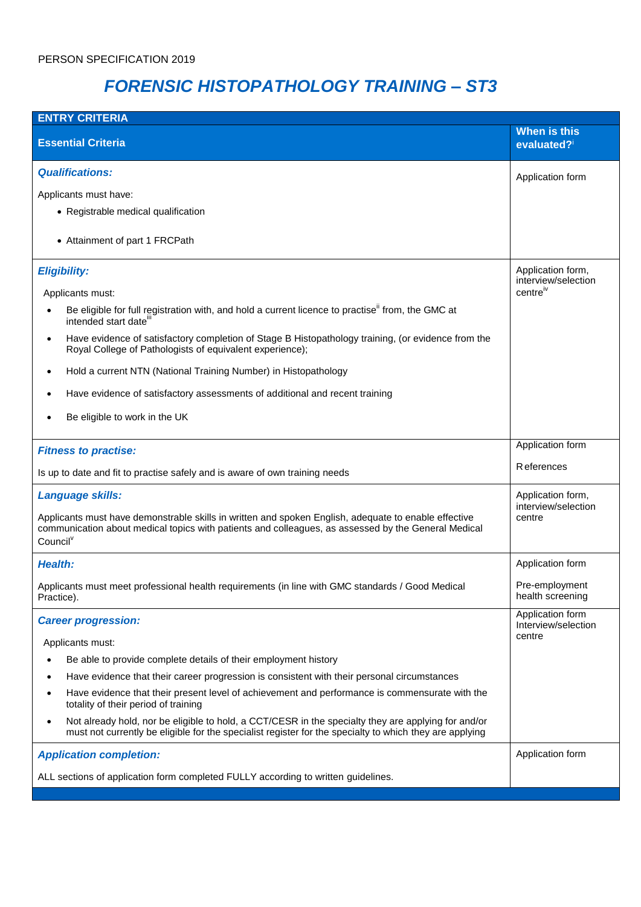# *FORENSIC HISTOPATHOLOGY TRAINING – ST3*

| <b>ENTRY CRITERIA</b>                                                                                                                                                                                                               |                                          |  |  |  |
|-------------------------------------------------------------------------------------------------------------------------------------------------------------------------------------------------------------------------------------|------------------------------------------|--|--|--|
| <b>Essential Criteria</b>                                                                                                                                                                                                           | When is this<br>evaluated?i              |  |  |  |
| <b>Qualifications:</b>                                                                                                                                                                                                              | Application form                         |  |  |  |
| Applicants must have:                                                                                                                                                                                                               |                                          |  |  |  |
| • Registrable medical qualification                                                                                                                                                                                                 |                                          |  |  |  |
| • Attainment of part 1 FRCPath                                                                                                                                                                                                      |                                          |  |  |  |
| <b>Eligibility:</b>                                                                                                                                                                                                                 | Application form,<br>interview/selection |  |  |  |
| Applicants must:                                                                                                                                                                                                                    | centreiv                                 |  |  |  |
| Be eligible for full registration with, and hold a current licence to practise" from, the GMC at<br>intended start date <sup>iii</sup>                                                                                              |                                          |  |  |  |
| Have evidence of satisfactory completion of Stage B Histopathology training, (or evidence from the<br>$\bullet$<br>Royal College of Pathologists of equivalent experience);                                                         |                                          |  |  |  |
| Hold a current NTN (National Training Number) in Histopathology                                                                                                                                                                     |                                          |  |  |  |
| Have evidence of satisfactory assessments of additional and recent training                                                                                                                                                         |                                          |  |  |  |
| Be eligible to work in the UK                                                                                                                                                                                                       |                                          |  |  |  |
| <b>Fitness to practise:</b>                                                                                                                                                                                                         | Application form                         |  |  |  |
| Is up to date and fit to practise safely and is aware of own training needs                                                                                                                                                         | R eferences                              |  |  |  |
| Language skills:                                                                                                                                                                                                                    | Application form,<br>interview/selection |  |  |  |
| Applicants must have demonstrable skills in written and spoken English, adequate to enable effective<br>communication about medical topics with patients and colleagues, as assessed by the General Medical<br>Council <sup>V</sup> | centre                                   |  |  |  |
| <b>Health:</b>                                                                                                                                                                                                                      | Application form                         |  |  |  |
| Applicants must meet professional health requirements (in line with GMC standards / Good Medical<br>Practice).                                                                                                                      | Pre-employment<br>health screening       |  |  |  |
| <b>Career progression:</b>                                                                                                                                                                                                          | Application form<br>Interview/selection  |  |  |  |
| Applicants must:                                                                                                                                                                                                                    | centre                                   |  |  |  |
| Be able to provide complete details of their employment history                                                                                                                                                                     |                                          |  |  |  |
| Have evidence that their career progression is consistent with their personal circumstances                                                                                                                                         |                                          |  |  |  |
| Have evidence that their present level of achievement and performance is commensurate with the<br>totality of their period of training                                                                                              |                                          |  |  |  |
| Not already hold, nor be eligible to hold, a CCT/CESR in the specialty they are applying for and/or<br>must not currently be eligible for the specialist register for the specialty to which they are applying                      |                                          |  |  |  |
| <b>Application completion:</b>                                                                                                                                                                                                      | Application form                         |  |  |  |
| ALL sections of application form completed FULLY according to written guidelines.                                                                                                                                                   |                                          |  |  |  |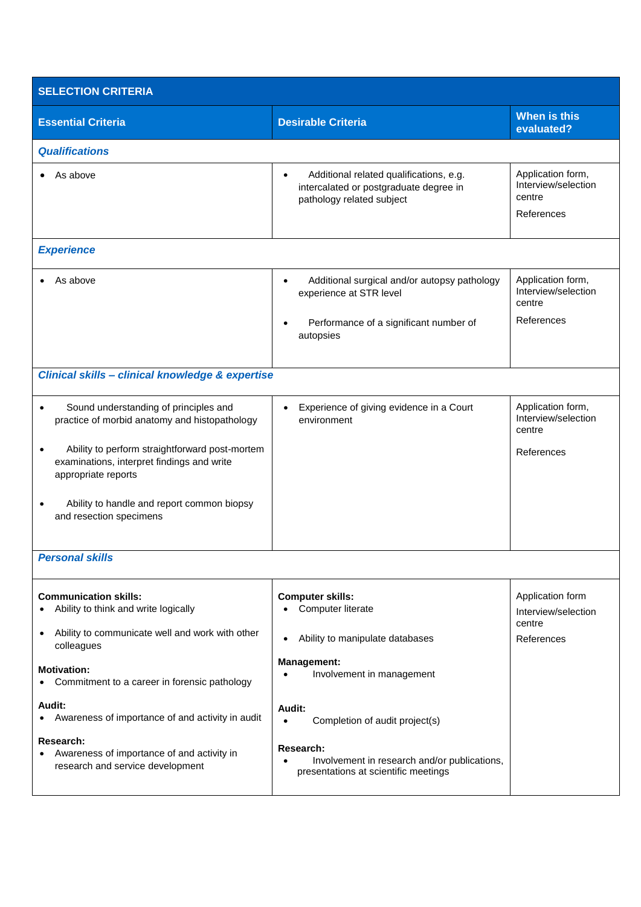| <b>SELECTION CRITERIA</b>                                                                                           |                                                                                                                                             |                                                                  |  |  |  |
|---------------------------------------------------------------------------------------------------------------------|---------------------------------------------------------------------------------------------------------------------------------------------|------------------------------------------------------------------|--|--|--|
| <b>Essential Criteria</b>                                                                                           | <b>Desirable Criteria</b>                                                                                                                   | <b>When is this</b><br>evaluated?                                |  |  |  |
| <b>Qualifications</b>                                                                                               |                                                                                                                                             |                                                                  |  |  |  |
| As above                                                                                                            | Additional related qualifications, e.g.<br>$\bullet$<br>intercalated or postgraduate degree in<br>pathology related subject                 | Application form,<br>Interview/selection<br>centre<br>References |  |  |  |
| <b>Experience</b>                                                                                                   |                                                                                                                                             |                                                                  |  |  |  |
| As above                                                                                                            | Additional surgical and/or autopsy pathology<br>$\bullet$<br>experience at STR level<br>Performance of a significant number of<br>autopsies | Application form,<br>Interview/selection<br>centre<br>References |  |  |  |
| Clinical skills - clinical knowledge & expertise                                                                    |                                                                                                                                             |                                                                  |  |  |  |
| Sound understanding of principles and<br>practice of morbid anatomy and histopathology                              | Experience of giving evidence in a Court<br>environment                                                                                     | Application form,<br>Interview/selection<br>centre               |  |  |  |
| Ability to perform straightforward post-mortem<br>examinations, interpret findings and write<br>appropriate reports |                                                                                                                                             | References                                                       |  |  |  |
| Ability to handle and report common biopsy<br>and resection specimens                                               |                                                                                                                                             |                                                                  |  |  |  |
| <b>Personal skills</b>                                                                                              |                                                                                                                                             |                                                                  |  |  |  |
| <b>Communication skills:</b><br>Ability to think and write logically                                                | <b>Computer skills:</b><br>Computer literate                                                                                                | Application form<br>Interview/selection<br>centre                |  |  |  |
| Ability to communicate well and work with other<br>$\bullet$<br>colleagues                                          | Ability to manipulate databases<br>$\bullet$                                                                                                | References                                                       |  |  |  |
| <b>Motivation:</b><br>Commitment to a career in forensic pathology                                                  | <b>Management:</b><br>Involvement in management                                                                                             |                                                                  |  |  |  |
| Audit:<br>Awareness of importance of and activity in audit<br>$\bullet$                                             | Audit:<br>Completion of audit project(s)                                                                                                    |                                                                  |  |  |  |
| Research:<br>Awareness of importance of and activity in<br>research and service development                         | Research:<br>Involvement in research and/or publications,<br>presentations at scientific meetings                                           |                                                                  |  |  |  |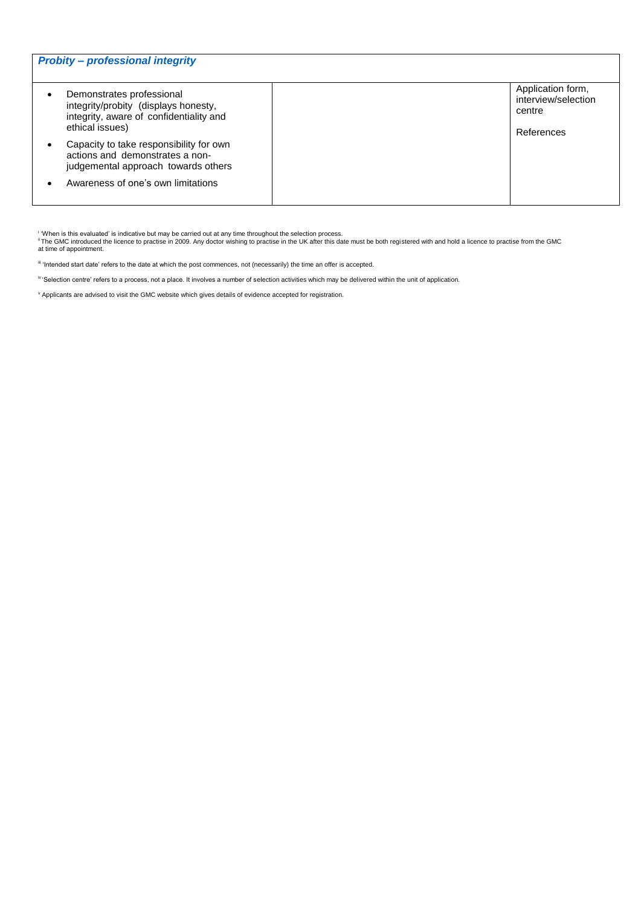| <b>Probity - professional integrity</b>                                                                                         |  |                                                                  |  |  |
|---------------------------------------------------------------------------------------------------------------------------------|--|------------------------------------------------------------------|--|--|
| Demonstrates professional<br>integrity/probity (displays honesty,<br>integrity, aware of confidentiality and<br>ethical issues) |  | Application form,<br>interview/selection<br>centre<br>References |  |  |
| Capacity to take responsibility for own<br>actions and demonstrates a non-<br>judgemental approach towards others               |  |                                                                  |  |  |
| Awareness of one's own limitations                                                                                              |  |                                                                  |  |  |

<sup>v</sup> Applicants are advised to visit the GMC website which gives details of evidence accepted for registration.

<sup>&</sup>lt;sup>i</sup> 'When is this evaluated' is indicative but may be carried out at any time throughout the selection process.<br><sup>ii</sup> The GMC introduced the licence to practise in 2009. Any doctor wishing to practise in the UK after this d

iii 'Intended start date' refers to the date at which the post commences, not (necessarily) the time an offer is accepted.

iv 'Selection centre' refers to a process, not a place. It involves a number of selection activities which may be delivered within the unit of application.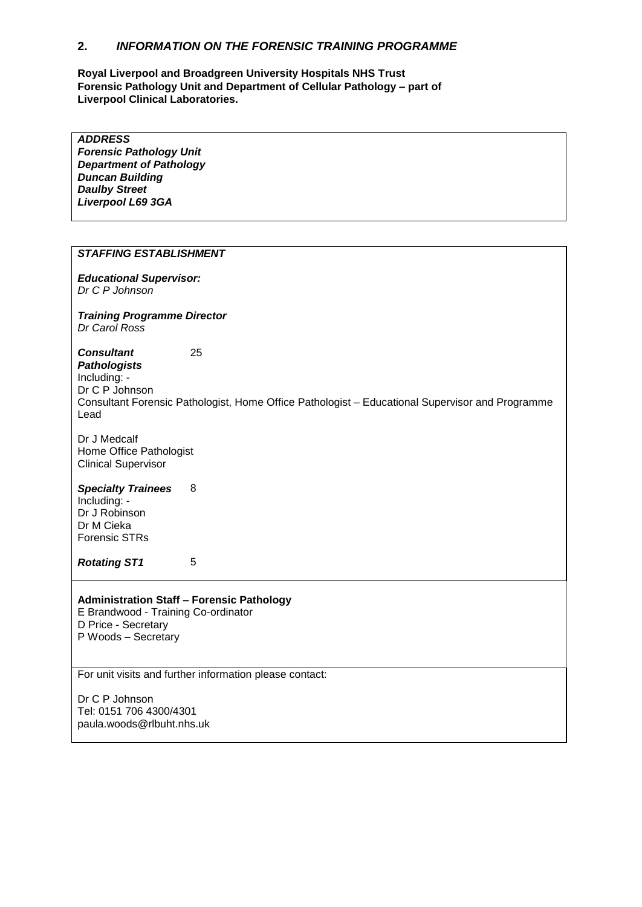#### **2.** *INFORMATION ON THE FORENSIC TRAINING PROGRAMME*

**Royal Liverpool and Broadgreen University Hospitals NHS Trust Forensic Pathology Unit and Department of Cellular Pathology – part of Liverpool Clinical Laboratories.**

*ADDRESS Forensic Pathology Unit Department of Pathology Duncan Building Daulby Street Liverpool L69 3GA*

#### *STAFFING ESTABLISHMENT*

*Educational Supervisor: Dr C P Johnson*

*Training Programme Director Dr Carol Ross*

*Consultant Pathologists*  25 Including: - Dr C P Johnson Consultant Forensic Pathologist, Home Office Pathologist – Educational Supervisor and Programme Lead

Dr J Medcalf Home Office Pathologist Clinical Supervisor

### *Specialty Trainees* 8

Including: - Dr J Robinson Dr M Cieka Forensic STRs

*Rotating ST1* 5

#### **Administration Staff – Forensic Pathology**

E Brandwood - Training Co-ordinator D Price - Secretary P Woods – Secretary

For unit visits and further information please contact:

Dr C P Johnson Tel: 0151 706 4300/4301 paula.woods@rlbuht.nhs.uk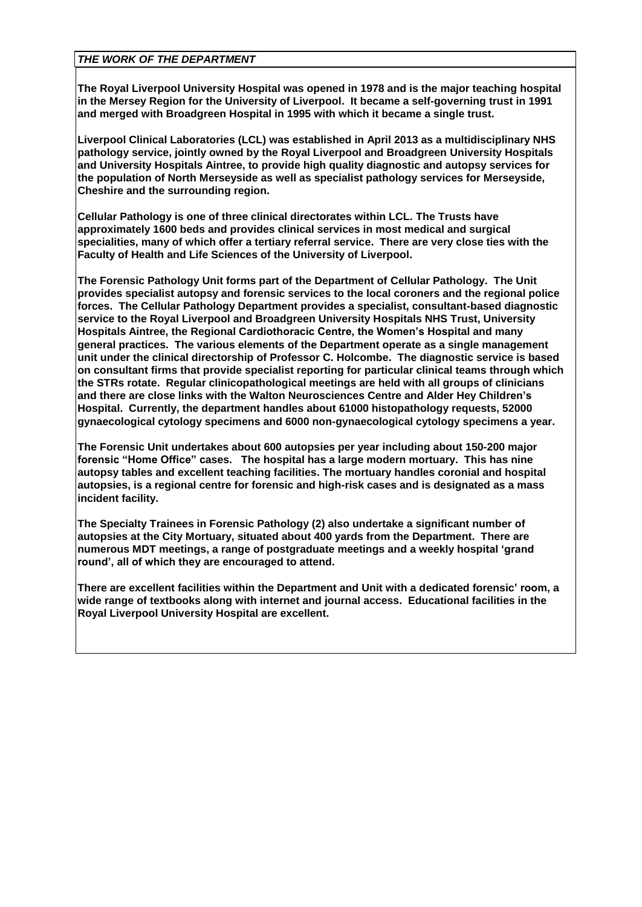#### *THE WORK OF THE DEPARTMENT*

**The Royal Liverpool University Hospital was opened in 1978 and is the major teaching hospital in the Mersey Region for the University of Liverpool. It became a self-governing trust in 1991 and merged with Broadgreen Hospital in 1995 with which it became a single trust.** 

**Liverpool Clinical Laboratories (LCL) was established in April 2013 as a multidisciplinary NHS pathology service, jointly owned by the Royal Liverpool and Broadgreen University Hospitals and University Hospitals Aintree, to provide high quality diagnostic and autopsy services for the population of North Merseyside as well as specialist pathology services for Merseyside, Cheshire and the surrounding region.**

**Cellular Pathology is one of three clinical directorates within LCL. The Trusts have approximately 1600 beds and provides clinical services in most medical and surgical specialities, many of which offer a tertiary referral service. There are very close ties with the Faculty of Health and Life Sciences of the University of Liverpool.** 

**The Forensic Pathology Unit forms part of the Department of Cellular Pathology. The Unit provides specialist autopsy and forensic services to the local coroners and the regional police forces. The Cellular Pathology Department provides a specialist, consultant-based diagnostic service to the Royal Liverpool and Broadgreen University Hospitals NHS Trust, University Hospitals Aintree, the Regional Cardiothoracic Centre, the Women's Hospital and many general practices. The various elements of the Department operate as a single management unit under the clinical directorship of Professor C. Holcombe. The diagnostic service is based on consultant firms that provide specialist reporting for particular clinical teams through which the STRs rotate. Regular clinicopathological meetings are held with all groups of clinicians and there are close links with the Walton Neurosciences Centre and Alder Hey Children's Hospital. Currently, the department handles about 61000 histopathology requests, 52000 gynaecological cytology specimens and 6000 non-gynaecological cytology specimens a year.** 

**The Forensic Unit undertakes about 600 autopsies per year including about 150-200 major forensic "Home Office" cases. The hospital has a large modern mortuary. This has nine autopsy tables and excellent teaching facilities. The mortuary handles coronial and hospital autopsies, is a regional centre for forensic and high-risk cases and is designated as a mass incident facility.** 

**The Specialty Trainees in Forensic Pathology (2) also undertake a significant number of autopsies at the City Mortuary, situated about 400 yards from the Department. There are numerous MDT meetings, a range of postgraduate meetings and a weekly hospital 'grand round', all of which they are encouraged to attend.** 

**There are excellent facilities within the Department and Unit with a dedicated forensic' room, a wide range of textbooks along with internet and journal access. Educational facilities in the Royal Liverpool University Hospital are excellent.**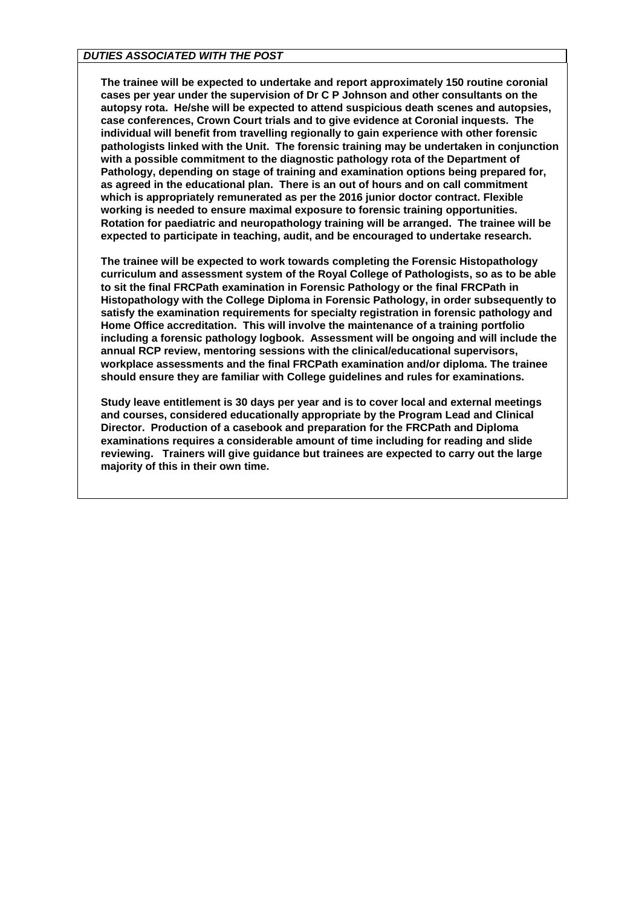#### *DUTIES ASSOCIATED WITH THE POST*

**The trainee will be expected to undertake and report approximately 150 routine coronial cases per year under the supervision of Dr C P Johnson and other consultants on the autopsy rota. He/she will be expected to attend suspicious death scenes and autopsies, case conferences, Crown Court trials and to give evidence at Coronial inquests. The individual will benefit from travelling regionally to gain experience with other forensic pathologists linked with the Unit. The forensic training may be undertaken in conjunction with a possible commitment to the diagnostic pathology rota of the Department of Pathology, depending on stage of training and examination options being prepared for, as agreed in the educational plan. There is an out of hours and on call commitment which is appropriately remunerated as per the 2016 junior doctor contract. Flexible working is needed to ensure maximal exposure to forensic training opportunities. Rotation for paediatric and neuropathology training will be arranged. The trainee will be expected to participate in teaching, audit, and be encouraged to undertake research.** 

**The trainee will be expected to work towards completing the Forensic Histopathology curriculum and assessment system of the Royal College of Pathologists, so as to be able to sit the final FRCPath examination in Forensic Pathology or the final FRCPath in Histopathology with the College Diploma in Forensic Pathology, in order subsequently to satisfy the examination requirements for specialty registration in forensic pathology and Home Office accreditation. This will involve the maintenance of a training portfolio including a forensic pathology logbook. Assessment will be ongoing and will include the annual RCP review, mentoring sessions with the clinical/educational supervisors, workplace assessments and the final FRCPath examination and/or diploma. The trainee should ensure they are familiar with College guidelines and rules for examinations.** 

**Study leave entitlement is 30 days per year and is to cover local and external meetings and courses, considered educationally appropriate by the Program Lead and Clinical Director. Production of a casebook and preparation for the FRCPath and Diploma examinations requires a considerable amount of time including for reading and slide reviewing. Trainers will give guidance but trainees are expected to carry out the large majority of this in their own time.**